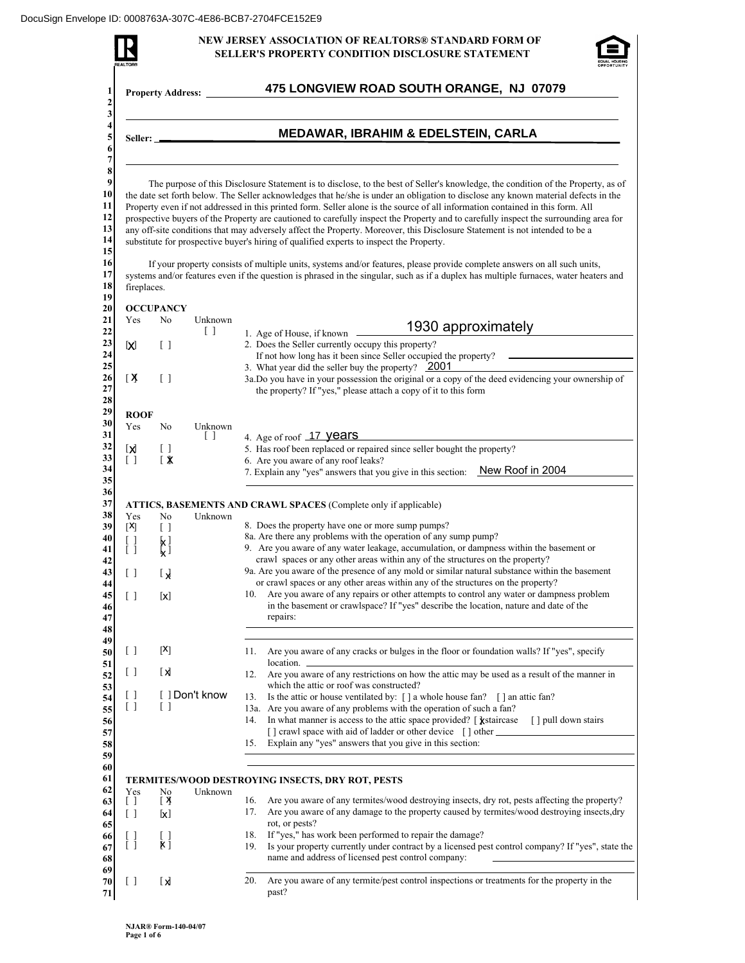|                                                |                                                                     | NEW JERSEY ASSOCIATION OF REALTORS® STANDARD FORM OF<br>SELLER'S PROPERTY CONDITION DISCLOSURE STATEMENT                                                                                                                                                                                                                                                                                                                                                                                                                                                                                                                                                                                                                                                                   |  |  |  |
|------------------------------------------------|---------------------------------------------------------------------|----------------------------------------------------------------------------------------------------------------------------------------------------------------------------------------------------------------------------------------------------------------------------------------------------------------------------------------------------------------------------------------------------------------------------------------------------------------------------------------------------------------------------------------------------------------------------------------------------------------------------------------------------------------------------------------------------------------------------------------------------------------------------|--|--|--|
|                                                | <b>Property Address:</b>                                            | 475 LONGVIEW ROAD SOUTH ORANGE, NJ 07079                                                                                                                                                                                                                                                                                                                                                                                                                                                                                                                                                                                                                                                                                                                                   |  |  |  |
|                                                | Seller: _ <b>___________</b> __                                     | MEDAWAR, IBRAHIM & EDELSTEIN, CARLA                                                                                                                                                                                                                                                                                                                                                                                                                                                                                                                                                                                                                                                                                                                                        |  |  |  |
|                                                |                                                                     | The purpose of this Disclosure Statement is to disclose, to the best of Seller's knowledge, the condition of the Property, as of<br>the date set forth below. The Seller acknowledges that he/she is under an obligation to disclose any known material defects in the<br>Property even if not addressed in this printed form. Seller alone is the source of all information contained in this form. All<br>prospective buyers of the Property are cautioned to carefully inspect the Property and to carefully inspect the surrounding area for<br>any off-site conditions that may adversely affect the Property. Moreover, this Disclosure Statement is not intended to be a<br>substitute for prospective buyer's hiring of qualified experts to inspect the Property. |  |  |  |
| fireplaces.                                    |                                                                     | If your property consists of multiple units, systems and/or features, please provide complete answers on all such units,<br>systems and/or features even if the question is phrased in the singular, such as if a duplex has multiple furnaces, water heaters and                                                                                                                                                                                                                                                                                                                                                                                                                                                                                                          |  |  |  |
|                                                | <b>OCCUPANCY</b>                                                    |                                                                                                                                                                                                                                                                                                                                                                                                                                                                                                                                                                                                                                                                                                                                                                            |  |  |  |
| Yes                                            | Unknown<br>No<br>$\Box$                                             | 1930 approximately<br>1. Age of House, if known _________                                                                                                                                                                                                                                                                                                                                                                                                                                                                                                                                                                                                                                                                                                                  |  |  |  |
| IXI                                            | $\left[ \begin{array}{c} \end{array} \right]$                       | 2. Does the Seller currently occupy this property?<br>If not how long has it been since Seller occupied the property?                                                                                                                                                                                                                                                                                                                                                                                                                                                                                                                                                                                                                                                      |  |  |  |
| [X]                                            | $[\ ]$                                                              | 3. What year did the seller buy the property? $\sqrt{2001}$<br>3a.Do you have in your possession the original or a copy of the deed evidencing your ownership of<br>the property? If "yes," please attach a copy of it to this form                                                                                                                                                                                                                                                                                                                                                                                                                                                                                                                                        |  |  |  |
| <b>ROOF</b>                                    |                                                                     |                                                                                                                                                                                                                                                                                                                                                                                                                                                                                                                                                                                                                                                                                                                                                                            |  |  |  |
| Yes                                            | No<br>Unknown                                                       |                                                                                                                                                                                                                                                                                                                                                                                                                                                                                                                                                                                                                                                                                                                                                                            |  |  |  |
| [X]                                            | $\Box$<br>Ħ                                                         | 4. Age of roof 17 years<br>5. Has roof been replaced or repaired since seller bought the property?                                                                                                                                                                                                                                                                                                                                                                                                                                                                                                                                                                                                                                                                         |  |  |  |
| $\Box$                                         | $\sqrt{X}$                                                          | 6. Are you aware of any roof leaks?<br>7. Explain any "yes" answers that you give in this section: New Roof in 2004                                                                                                                                                                                                                                                                                                                                                                                                                                                                                                                                                                                                                                                        |  |  |  |
| Yes                                            | N <sub>0</sub><br>Unknown                                           | ATTICS, BASEMENTS AND CRAWL SPACES (Complete only if applicable)                                                                                                                                                                                                                                                                                                                                                                                                                                                                                                                                                                                                                                                                                                           |  |  |  |
| [X]                                            | $\Box$                                                              | 8. Does the property have one or more sump pumps?                                                                                                                                                                                                                                                                                                                                                                                                                                                                                                                                                                                                                                                                                                                          |  |  |  |
| $[\,\,]$                                       | ķļ<br>k۱                                                            | 8a. Are there any problems with the operation of any sump pump?<br>9. Are you aware of any water leakage, accumulation, or dampness within the basement or                                                                                                                                                                                                                                                                                                                                                                                                                                                                                                                                                                                                                 |  |  |  |
|                                                |                                                                     | crawl spaces or any other areas within any of the structures on the property?                                                                                                                                                                                                                                                                                                                                                                                                                                                                                                                                                                                                                                                                                              |  |  |  |
| $\left[ \begin{array}{c} \end{array} \right]$  | kJ                                                                  | 9a. Are you aware of the presence of any mold or similar natural substance within the basement<br>or crawl spaces or any other areas within any of the structures on the property?                                                                                                                                                                                                                                                                                                                                                                                                                                                                                                                                                                                         |  |  |  |
| $\Box$                                         | $\mathbf{x}$                                                        | Are you aware of any repairs or other attempts to control any water or dampness problem<br>10.<br>in the basement or crawlspace? If "yes" describe the location, nature and date of the<br>repairs:                                                                                                                                                                                                                                                                                                                                                                                                                                                                                                                                                                        |  |  |  |
|                                                |                                                                     |                                                                                                                                                                                                                                                                                                                                                                                                                                                                                                                                                                                                                                                                                                                                                                            |  |  |  |
| $\Box$                                         | [X]                                                                 | Are you aware of any cracks or bulges in the floor or foundation walls? If "yes", specify<br>11.<br>location. _                                                                                                                                                                                                                                                                                                                                                                                                                                                                                                                                                                                                                                                            |  |  |  |
| $\left[ \begin{array}{c} \end{array} \right]$  | [x]                                                                 | Are you aware of any restrictions on how the attic may be used as a result of the manner in<br>12.<br>which the attic or roof was constructed?                                                                                                                                                                                                                                                                                                                                                                                                                                                                                                                                                                                                                             |  |  |  |
| I l                                            | [ ] Don't know                                                      | Is the attic or house ventilated by: [] a whole house fan? [] an attic fan?<br>13.                                                                                                                                                                                                                                                                                                                                                                                                                                                                                                                                                                                                                                                                                         |  |  |  |
| $\left[ \begin{array}{c} \end{array} \right]$  | $\perp$                                                             | 13a. Are you aware of any problems with the operation of such a fan?<br>In what manner is access to the attic space provided? $\lceil \cdot \cdot \rceil$ x staircase<br>14.<br>[ ] pull down stairs                                                                                                                                                                                                                                                                                                                                                                                                                                                                                                                                                                       |  |  |  |
|                                                |                                                                     | [] crawl space with aid of ladder or other device [] other                                                                                                                                                                                                                                                                                                                                                                                                                                                                                                                                                                                                                                                                                                                 |  |  |  |
|                                                |                                                                     | Explain any "yes" answers that you give in this section:<br>15.                                                                                                                                                                                                                                                                                                                                                                                                                                                                                                                                                                                                                                                                                                            |  |  |  |
|                                                |                                                                     | TERMITES/WOOD DESTROYING INSECTS, DRY ROT, PESTS                                                                                                                                                                                                                                                                                                                                                                                                                                                                                                                                                                                                                                                                                                                           |  |  |  |
| Yes                                            | No<br>Unknown                                                       |                                                                                                                                                                                                                                                                                                                                                                                                                                                                                                                                                                                                                                                                                                                                                                            |  |  |  |
| ΙJ<br>Γl                                       | K ]<br>$\mathsf{[x]}$                                               | Are you aware of any termites/wood destroying insects, dry rot, pests affecting the property?<br>16.<br>Are you aware of any damage to the property caused by termites/wood destroying insects, dry<br>17.<br>rot, or pests?                                                                                                                                                                                                                                                                                                                                                                                                                                                                                                                                               |  |  |  |
| $\left[\begin{array}{c}1\\1\end{array}\right]$ | $\left[\begin{smallmatrix} 1\cr \mathsf{K}\end{smallmatrix}\right]$ | If "yes," has work been performed to repair the damage?<br>18.                                                                                                                                                                                                                                                                                                                                                                                                                                                                                                                                                                                                                                                                                                             |  |  |  |
|                                                |                                                                     | Is your property currently under contract by a licensed pest control company? If "yes", state the<br>19.<br>name and address of licensed pest control company:                                                                                                                                                                                                                                                                                                                                                                                                                                                                                                                                                                                                             |  |  |  |
| I)                                             | [X]                                                                 | Are you aware of any termite/pest control inspections or treatments for the property in the<br>20.                                                                                                                                                                                                                                                                                                                                                                                                                                                                                                                                                                                                                                                                         |  |  |  |

past?

**70 71**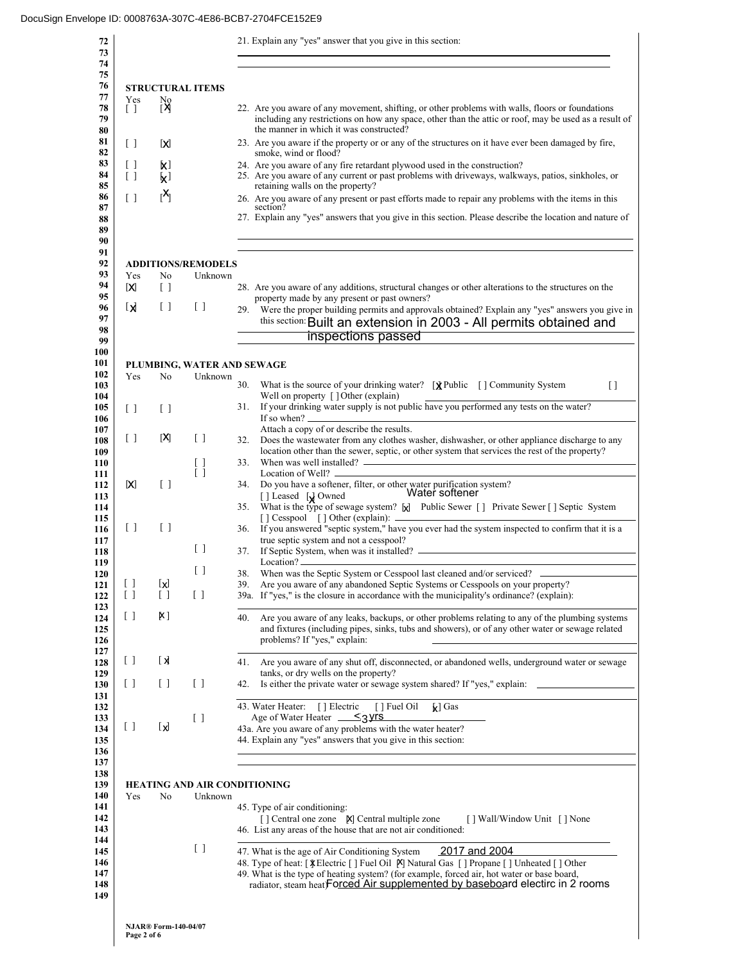|                                                           |                           | <b>STRUCTURAL ITEMS</b>              |                                                                                                                                                                                                                                                                                                                                                                                                        |
|-----------------------------------------------------------|---------------------------|--------------------------------------|--------------------------------------------------------------------------------------------------------------------------------------------------------------------------------------------------------------------------------------------------------------------------------------------------------------------------------------------------------------------------------------------------------|
| Yes                                                       | No<br>[ <b>X</b>          |                                      |                                                                                                                                                                                                                                                                                                                                                                                                        |
| $\Box$                                                    |                           |                                      | 22. Are you aware of any movement, shifting, or other problems with walls, floors or foundations<br>including any restrictions on how any space, other than the attic or roof, may be used as a result of<br>the manner in which it was constructed?                                                                                                                                                   |
| $\Box$                                                    | [X]                       |                                      | 23. Are you aware if the property or or any of the structures on it have ever been damaged by fire,<br>smoke, wind or flood?                                                                                                                                                                                                                                                                           |
| ſΙ<br>$\Box$                                              | K)<br>Ŋ١                  |                                      | 24. Are you aware of any fire retardant plywood used in the construction?<br>25. Are you aware of any current or past problems with driveways, walkways, patios, sinkholes, or<br>retaining walls on the property?                                                                                                                                                                                     |
| $\Box$                                                    | $\mathsf{I}^{\mathsf{X}}$ |                                      | 26. Are you aware of any present or past efforts made to repair any problems with the items in this<br>section?<br>27. Explain any "yes" answers that you give in this section. Please describe the location and nature of                                                                                                                                                                             |
|                                                           |                           |                                      |                                                                                                                                                                                                                                                                                                                                                                                                        |
| Yes                                                       | N <sub>0</sub>            | <b>ADDITIONS/REMODELS</b><br>Unknown |                                                                                                                                                                                                                                                                                                                                                                                                        |
| ΙXΙ                                                       | $\Box$                    |                                      | 28. Are you aware of any additions, structural changes or other alterations to the structures on the                                                                                                                                                                                                                                                                                                   |
| [X                                                        | $\Box$                    | $[\ ]$                               | property made by any present or past owners?<br>29. Were the proper building permits and approvals obtained? Explain any "yes" answers you give in<br>this section: Built an extension in 2003 - All permits obtained and<br>inspections passed                                                                                                                                                        |
|                                                           |                           |                                      |                                                                                                                                                                                                                                                                                                                                                                                                        |
|                                                           |                           |                                      | PLUMBING, WATER AND SEWAGE                                                                                                                                                                                                                                                                                                                                                                             |
| Yes                                                       | N <sub>0</sub>            | Unknown                              | 30.<br>What is the source of your drinking water? $\chi$ Public [] Community System                                                                                                                                                                                                                                                                                                                    |
| Γl                                                        | $[\ ]$                    |                                      | Well on property [] Other (explain)<br>If your drinking water supply is not public have you performed any tests on the water?<br>31.<br>If so when? $\frac{1}{2}$ is the same set of $\frac{1}{2}$ is the same set of $\frac{1}{2}$ is the same set of $\frac{1}{2}$ is the same set of $\frac{1}{2}$ is the same set of $\frac{1}{2}$ is the same set of $\frac{1}{2}$ is the same set of $\frac{1}{$ |
| $\Box$                                                    | ΓXΙ                       | Γl                                   | Attach a copy of or describe the results.                                                                                                                                                                                                                                                                                                                                                              |
|                                                           |                           | [ ]<br>[ ]                           | 32.<br>Does the wastewater from any clothes washer, dishwasher, or other appliance discharge to any<br>location other than the sewer, septic, or other system that services the rest of the property?<br>33.                                                                                                                                                                                           |
| $\mathsf{X}$                                              | $[\ ]$                    |                                      | Location of Well? $-$<br>34.                                                                                                                                                                                                                                                                                                                                                                           |
|                                                           |                           |                                      | Do you have a softener, filter, or other water purification system?<br>1 Leased I J Owned Water softener<br>[] Leased [x] Owned<br>What is the type of sewage system? $x \mid x$ Public Sewer $\mid$ Private Sewer $\mid$ Septic System<br>35.                                                                                                                                                         |
| $\Box$                                                    | $\Box$                    |                                      | [] Cesspool [] Other (explain):<br>If you answered "septic system," have you ever had the system inspected to confirm that it is a<br>36.                                                                                                                                                                                                                                                              |
|                                                           |                           | $[\ ]$                               | true septic system and not a cesspool?<br>37.<br>Location? _                                                                                                                                                                                                                                                                                                                                           |
|                                                           |                           | $[\ ]$                               | When was the Septic System or Cesspool last cleaned and/or serviced?<br>38.                                                                                                                                                                                                                                                                                                                            |
| $\left[ \begin{array}{c} 1 \end{array} \right]$<br>$\Box$ | $[\mathsf{x}]$<br>H       | [ ]                                  | 39.<br>Are you aware of any abandoned Septic Systems or Cesspools on your property?<br>39a. If "yes," is the closure in accordance with the municipality's ordinance? (explain):                                                                                                                                                                                                                       |
| [ ]                                                       | [X                        |                                      | Are you aware of any leaks, backups, or other problems relating to any of the plumbing systems<br>40.<br>and fixtures (including pipes, sinks, tubs and showers), or of any other water or sewage related<br>problems? If "yes," explain:                                                                                                                                                              |
| $\Box$                                                    | k ]                       |                                      | Are you aware of any shut off, disconnected, or abandoned wells, underground water or sewage<br>41.                                                                                                                                                                                                                                                                                                    |
| $\left[ \begin{array}{c} \end{array} \right]$             | $[\ ]$                    | $[\ ]$                               | tanks, or dry wells on the property?<br>Is either the private water or sewage system shared? If "yes," explain:<br>42.                                                                                                                                                                                                                                                                                 |
|                                                           |                           |                                      | 43. Water Heater: [] Electric<br>[ ] Fuel Oil<br>$\mathbf{k}$ ] Gas<br>Age of Water Heater<br><u>&lt;3 yrs</u>                                                                                                                                                                                                                                                                                         |
| $[\ ]$                                                    | $\left[\chi\right]$       | [ ]                                  | 43a. Are you aware of any problems with the water heater?<br>44. Explain any "yes" answers that you give in this section:                                                                                                                                                                                                                                                                              |
|                                                           |                           |                                      |                                                                                                                                                                                                                                                                                                                                                                                                        |
|                                                           |                           |                                      | <b>HEATING AND AIR CONDITIONING</b>                                                                                                                                                                                                                                                                                                                                                                    |
| Yes                                                       | N <sub>0</sub>            | Unknown                              |                                                                                                                                                                                                                                                                                                                                                                                                        |
|                                                           |                           |                                      | 45. Type of air conditioning:<br>[] Central one zone [X] Central multiple zone<br>[] Wall/Window Unit [] None<br>46. List any areas of the house that are not air conditioned:                                                                                                                                                                                                                         |
|                                                           |                           | $[\ ]$                               | 2017 and 2004<br>47. What is the age of Air Conditioning System                                                                                                                                                                                                                                                                                                                                        |
|                                                           |                           |                                      | 48. Type of heat: [X Electric [] Fuel Oil   X  Natural Gas [] Propane [] Unheated [] Other<br>49. What is the type of heating system? (for example, forced air, hot water or base board,<br>radiator, steam heat Forced Air supplemented by baseboard electirc in 2 rooms                                                                                                                              |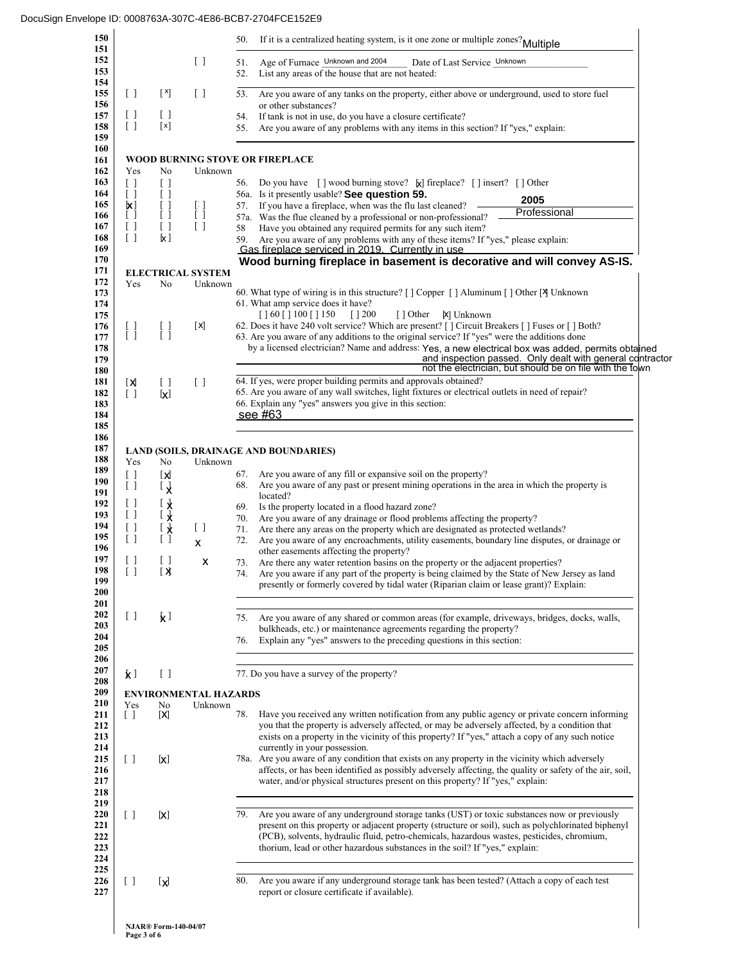|                                         |                                               | [ ]                               | Age of Furnace Unknown and 2004<br>Date of Last Service_Unknown<br>51.<br>52.<br>List any areas of the house that are not heated:                                                                       |
|-----------------------------------------|-----------------------------------------------|-----------------------------------|---------------------------------------------------------------------------------------------------------------------------------------------------------------------------------------------------------|
|                                         |                                               |                                   |                                                                                                                                                                                                         |
| $\Box$                                  | [X]                                           | $[ \ ]$                           | Are you aware of any tanks on the property, either above or underground, used to store fuel<br>53.<br>or other substances?                                                                              |
| $[\ ]$<br>$\Box$                        | $\Box$<br>[x]                                 |                                   | 54.<br>If tank is not in use, do you have a closure certificate?<br>55.<br>Are you aware of any problems with any items in this section? If "yes," explain:                                             |
|                                         |                                               |                                   | WOOD BURNING STOVE OR FIREPLACE                                                                                                                                                                         |
| Yes                                     | No                                            | Unknown                           |                                                                                                                                                                                                         |
| Γl<br>ſΙ                                | $[\ ]$<br>$\Box$                              |                                   | Do you have [] wood burning stove? [x] fireplace? [] insert? [] Other<br>56.<br>56a. Is it presently usable? See question 59.                                                                           |
| $\mathbf{x}$                            | $[\ ]$                                        | [F]                               | 2005<br>57. If you have a fireplace, when was the flu last cleaned?<br>Professional                                                                                                                     |
| ΓI<br>Γl                                | Ιl<br>$\Box$                                  | ίi<br>$\Box$                      | 57a. Was the flue cleaned by a professional or non-professional?<br>Have you obtained any required permits for any such item?<br>58                                                                     |
| $\Box$                                  | [x                                            |                                   | Are you aware of any problems with any of these items? If "yes," please explain:<br>59.                                                                                                                 |
|                                         |                                               |                                   | Gas fireplace serviced in 2019. Currently in use<br>Wood burning fireplace in basement is decorative and will convey AS-IS.                                                                             |
|                                         |                                               | <b>ELECTRICAL SYSTEM</b>          |                                                                                                                                                                                                         |
| Yes                                     | No                                            | Unknown                           | 60. What type of wiring is in this structure? [ ] Copper [ ] Aluminum [ ] Other [X] Unknown                                                                                                             |
|                                         |                                               |                                   | 61. What amp service does it have?                                                                                                                                                                      |
|                                         |                                               |                                   | $\lceil 160 \rceil 100 \rceil 150$<br>$\lceil$ 200<br>[] Other<br>[X] Unknown                                                                                                                           |
| [ ]<br>[ ]                              | $\begin{bmatrix} 1 \\ 1 \end{bmatrix}$        | [x]                               | 62. Does it have 240 volt service? Which are present? [ ] Circuit Breakers [ ] Fuses or [ ] Both?<br>63. Are you aware of any additions to the original service? If "yes" were the additions done       |
|                                         |                                               |                                   | by a licensed electrician? Name and address: Yes, a new electrical box was added, permits obtained                                                                                                      |
|                                         |                                               |                                   | and inspection passed. Only dealt with general contractor<br>not the electrician, but should be on file with the town                                                                                   |
| [X]                                     | $\left[ \begin{array}{c} \end{array} \right]$ | $\begin{bmatrix} 1 \end{bmatrix}$ | 64. If yes, were proper building permits and approvals obtained?                                                                                                                                        |
| $\Box$                                  | [X]                                           |                                   | 65. Are you aware of any wall switches, light fixtures or electrical outlets in need of repair?<br>66. Explain any "yes" answers you give in this section:                                              |
|                                         |                                               |                                   | see #63                                                                                                                                                                                                 |
|                                         |                                               |                                   |                                                                                                                                                                                                         |
|                                         |                                               |                                   | <b>LAND (SOILS, DRAINAGE AND BOUNDARIES)</b>                                                                                                                                                            |
| Yes                                     | No                                            | Unknown                           |                                                                                                                                                                                                         |
| [ ]                                     | [X]                                           |                                   | Are you aware of any fill or expansive soil on the property?<br>67.                                                                                                                                     |
| $\Box$                                  | ∤ ا                                           |                                   | Are you aware of any past or present mining operations in the area in which the property is<br>68.<br>located?                                                                                          |
| Ιl                                      | ו}<br>≀∫                                      |                                   | Is the property located in a flood hazard zone?<br>69.                                                                                                                                                  |
| $\Box$<br>[ ]                           | [ x                                           | $[\ ]$                            | 70. Are you aware of any drainage or flood problems affecting the property?<br>Are there any areas on the property which are designated as protected wetlands?<br>71.                                   |
| $\Box$                                  |                                               | X                                 | Are you aware of any encroachments, utility easements, boundary line disputes, or drainage or<br>72.                                                                                                    |
| $\Box$                                  | $[\ ]$                                        | X                                 | other easements affecting the property?<br>Are there any water retention basins on the property or the adjacent properties?<br>73.                                                                      |
|                                         | ΓŊ.                                           |                                   | 74.<br>Are you aware if any part of the property is being claimed by the State of New Jersey as land                                                                                                    |
| $\begin{smallmatrix} \end{smallmatrix}$ |                                               |                                   | presently or formerly covered by tidal water (Riparian claim or lease grant)? Explain:                                                                                                                  |
|                                         |                                               |                                   |                                                                                                                                                                                                         |
|                                         |                                               |                                   |                                                                                                                                                                                                         |
| $[\ ]$                                  | $\mathbf{k}$ ]                                |                                   | Are you aware of any shared or common areas (for example, driveways, bridges, docks, walls,<br>75.<br>bulkheads, etc.) or maintenance agreements regarding the property?                                |
|                                         |                                               |                                   | Explain any "yes" answers to the preceding questions in this section:<br>76.                                                                                                                            |
| $\mathbf{k}$ ]                          | $[\ ]$                                        |                                   | 77. Do you have a survey of the property?                                                                                                                                                               |
|                                         |                                               | <b>ENVIRONMENTAL HAZARDS</b>      |                                                                                                                                                                                                         |
| Yes                                     | No                                            | Unknown                           |                                                                                                                                                                                                         |
| $\begin{array}{c} \square \end{array}$  | [X]                                           |                                   | Have you received any written notification from any public agency or private concern informing<br>78.<br>you that the property is adversely affected, or may be adversely affected, by a condition that |
|                                         |                                               |                                   | exists on a property in the vicinity of this property? If "yes," attach a copy of any such notice                                                                                                       |
| $\Box$                                  |                                               |                                   | currently in your possession.<br>78a. Are you aware of any condition that exists on any property in the vicinity which adversely                                                                        |
|                                         | [X]                                           |                                   | affects, or has been identified as possibly adversely affecting, the quality or safety of the air, soil,                                                                                                |
|                                         |                                               |                                   | water, and/or physical structures present on this property? If "yes," explain:                                                                                                                          |
| $\Box$                                  | $[{\mathsf X}]$                               |                                   | 79.<br>Are you aware of any underground storage tanks (UST) or toxic substances now or previously                                                                                                       |
|                                         |                                               |                                   | present on this property or adjacent property (structure or soil), such as polychlorinated biphenyl                                                                                                     |
|                                         |                                               |                                   | (PCB), solvents, hydraulic fluid, petro-chemicals, hazardous wastes, pesticides, chromium,                                                                                                              |
|                                         |                                               |                                   | thorium, lead or other hazardous substances in the soil? If "yes," explain:                                                                                                                             |
| $\Box$                                  | $\mathsf{X}$                                  |                                   | Are you aware if any underground storage tank has been tested? (Attach a copy of each test<br>80.<br>report or closure certificate if available).                                                       |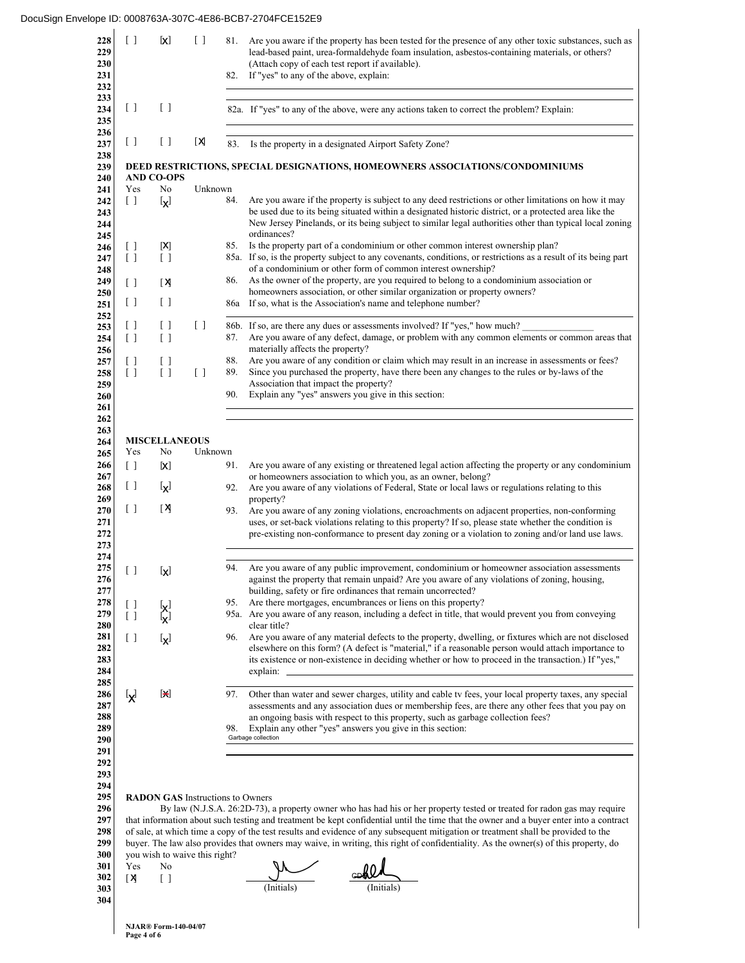| $[\ ]$<br>228<br>229<br>230<br>231<br>232                                                                             | [X]                                           | $[\ ]$                                        | Are you aware if the property has been tested for the presence of any other toxic substances, such as<br>81.<br>lead-based paint, urea-formaldehyde foam insulation, asbestos-containing materials, or others?<br>(Attach copy of each test report if available).<br>If "yes" to any of the above, explain:<br>82.                                                                                                                                                                                                                                                                                                    |
|-----------------------------------------------------------------------------------------------------------------------|-----------------------------------------------|-----------------------------------------------|-----------------------------------------------------------------------------------------------------------------------------------------------------------------------------------------------------------------------------------------------------------------------------------------------------------------------------------------------------------------------------------------------------------------------------------------------------------------------------------------------------------------------------------------------------------------------------------------------------------------------|
| 233<br>$\left[ \begin{array}{c} \end{array} \right]$<br>234<br>235                                                    | $[\ ]$                                        |                                               | 82a. If "yes" to any of the above, were any actions taken to correct the problem? Explain:                                                                                                                                                                                                                                                                                                                                                                                                                                                                                                                            |
| 236<br>$\begin{smallmatrix} \end{smallmatrix}$<br>237                                                                 | $[\ ]$                                        | [X]                                           | Is the property in a designated Airport Safety Zone?<br>83.                                                                                                                                                                                                                                                                                                                                                                                                                                                                                                                                                           |
| 238<br>239                                                                                                            | <b>AND CO-OPS</b>                             |                                               | DEED RESTRICTIONS, SPECIAL DESIGNATIONS, HOMEOWNERS ASSOCIATIONS/CONDOMINIUMS                                                                                                                                                                                                                                                                                                                                                                                                                                                                                                                                         |
| 240<br>Yes<br>241                                                                                                     | No                                            | Unknown                                       |                                                                                                                                                                                                                                                                                                                                                                                                                                                                                                                                                                                                                       |
| $\begin{smallmatrix} \end{smallmatrix}$<br>242<br>243<br>244<br>245                                                   | $\left[\chi\right]$                           |                                               | Are you aware if the property is subject to any deed restrictions or other limitations on how it may<br>84.<br>be used due to its being situated within a designated historic district, or a protected area like the<br>New Jersey Pinelands, or its being subject to similar legal authorities other than typical local zoning<br>ordinances?                                                                                                                                                                                                                                                                        |
| Ιl<br>246<br>$\Box$<br>247                                                                                            | [X]<br>$\Box$                                 |                                               | Is the property part of a condominium or other common interest ownership plan?<br>85.<br>85a. If so, is the property subject to any covenants, conditions, or restrictions as a result of its being part<br>of a condominium or other form of common interest ownership?                                                                                                                                                                                                                                                                                                                                              |
| 248<br>249<br>$\Box$<br>250                                                                                           | [X                                            |                                               | As the owner of the property, are you required to belong to a condominium association or<br>86.<br>homeowners association, or other similar organization or property owners?                                                                                                                                                                                                                                                                                                                                                                                                                                          |
| $\left[ \begin{array}{c} \end{array} \right]$<br>251<br>252                                                           | $[\ ]$                                        |                                               | 86a If so, what is the Association's name and telephone number?                                                                                                                                                                                                                                                                                                                                                                                                                                                                                                                                                       |
| $\left[ \begin{array}{c} \end{array} \right]$<br>253<br>$\left[ \begin{array}{c} 1 \end{array} \right]$<br>254<br>256 | $[\ ]$<br>$[\ ]$                              | $[\ ]$                                        | 86b. If so, are there any dues or assessments involved? If "yes," how much?<br>Are you aware of any defect, damage, or problem with any common elements or common areas that<br>87.<br>materially affects the property?                                                                                                                                                                                                                                                                                                                                                                                               |
| $\Box$<br>257<br>$\Box$<br>258<br>259<br>260                                                                          | ΙI<br>$[ \ ]$                                 | $\left[ \begin{array}{c} \end{array} \right]$ | Are you aware of any condition or claim which may result in an increase in assessments or fees?<br>88.<br>Since you purchased the property, have there been any changes to the rules or by-laws of the<br>89.<br>Association that impact the property?<br>Explain any "yes" answers you give in this section:<br>90.                                                                                                                                                                                                                                                                                                  |
| 262<br>263<br>264<br>Yes<br>265<br>266<br>$\Box$<br>267                                                               | <b>MISCELLANEOUS</b><br>No<br>[X]             | Unknown                                       | Are you aware of any existing or threatened legal action affecting the property or any condominium<br>91.<br>or homeowners association to which you, as an owner, belong?                                                                                                                                                                                                                                                                                                                                                                                                                                             |
| $\begin{smallmatrix} \end{smallmatrix}$<br>268<br>269                                                                 | $\left[\chi\right]$                           |                                               | Are you aware of any violations of Federal, State or local laws or regulations relating to this<br>92.<br>property?                                                                                                                                                                                                                                                                                                                                                                                                                                                                                                   |
| $\left[ \begin{array}{c} \end{array} \right]$<br>270<br>271<br>272<br>273                                             | ſХ                                            |                                               | 93.<br>Are you aware of any zoning violations, encroachments on adjacent properties, non-conforming<br>uses, or set-back violations relating to this property? If so, please state whether the condition is<br>pre-existing non-conformance to present day zoning or a violation to zoning and/or land use laws.                                                                                                                                                                                                                                                                                                      |
| 274<br>275<br>$\begin{bmatrix} \end{bmatrix}$<br>276<br>277                                                           | $\left[\mathsf{x}\right]$                     |                                               | 94.<br>Are you aware of any public improvement, condominium or homeowner association assessments<br>against the property that remain unpaid? Are you aware of any violations of zoning, housing,<br>building, safety or fire ordinances that remain uncorrected?                                                                                                                                                                                                                                                                                                                                                      |
| 278<br>$[\ ]$<br>279<br>$[\ ]$<br>280                                                                                 | Ŋ<br>l <sub>x</sub> l                         |                                               | 95.<br>Are there mortgages, encumbrances or liens on this property?<br>95a. Are you aware of any reason, including a defect in title, that would prevent you from conveying<br>clear title?                                                                                                                                                                                                                                                                                                                                                                                                                           |
| 281<br>$\Box$<br>282<br>283<br>284<br>285                                                                             | [ <sub>X</sub> ]                              |                                               | Are you aware of any material defects to the property, dwelling, or fixtures which are not disclosed<br>96.<br>elsewhere on this form? (A defect is "material," if a reasonable person would attach importance to<br>its existence or non-existence in deciding whether or how to proceed in the transaction.) If "yes,"<br>explain:                                                                                                                                                                                                                                                                                  |
| 286<br>ا <b>پ</b><br>287<br>288<br>289<br>290                                                                         | $[\star]$                                     |                                               | 97.<br>Other than water and sewer charges, utility and cable tv fees, your local property taxes, any special<br>assessments and any association dues or membership fees, are there any other fees that you pay on<br>an ongoing basis with respect to this property, such as garbage collection fees?<br>Explain any other "yes" answers you give in this section:<br>98.<br>Garbage collection                                                                                                                                                                                                                       |
| 291<br>292<br>293<br>294<br>295<br>296<br>297<br>298<br>299<br>300<br>301<br>Yes<br>302<br>ſХ<br>303<br>304           | you wish to waive this right?<br>No<br>$[\ ]$ |                                               | <b>RADON GAS</b> Instructions to Owners<br>By law (N.J.S.A. 26:2D-73), a property owner who has had his or her property tested or treated for radon gas may require<br>that information about such testing and treatment be kept confidential until the time that the owner and a buyer enter into a contract<br>of sale, at which time a copy of the test results and evidence of any subsequent mitigation or treatment shall be provided to the<br>buyer. The law also provides that owners may waive, in writing, this right of confidentiality. As the owner(s) of this property, do<br>(Initials)<br>(Initials) |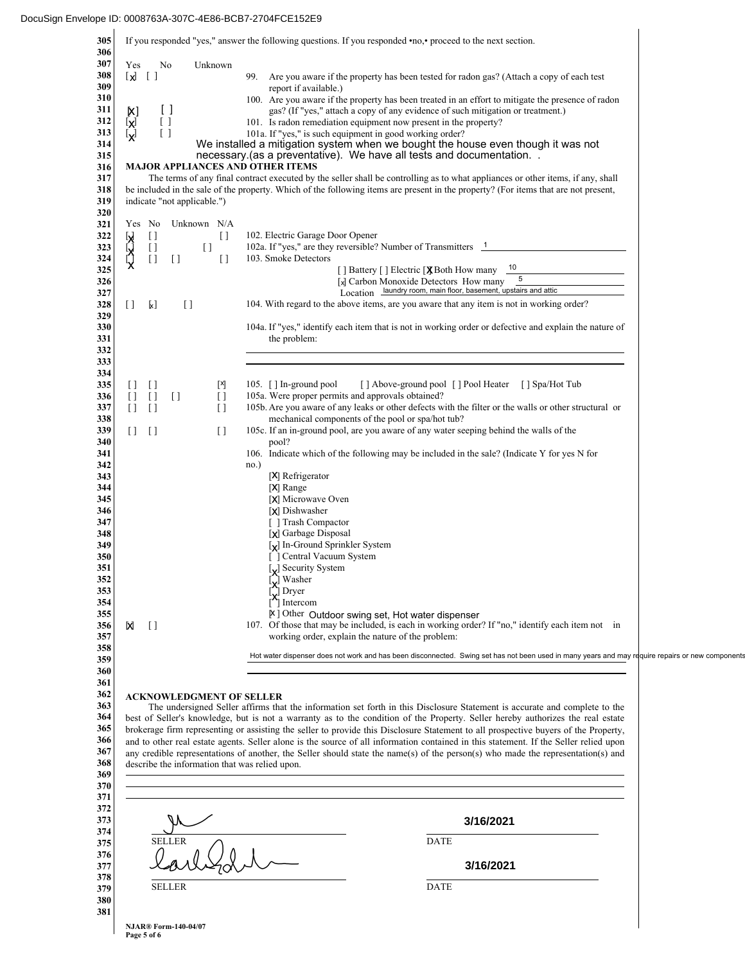| 305<br>306                                                                                                                                                                                                                                                                                                                         | If you responded "yes," answer the following questions. If you responded •no,• proceed to the next section.                                                                                                                                                                                                                                                                                                                                                                                                                                                                                                                                                                                                                                                                                                                                                                                                                                                                                                                                                                                                                       |
|------------------------------------------------------------------------------------------------------------------------------------------------------------------------------------------------------------------------------------------------------------------------------------------------------------------------------------|-----------------------------------------------------------------------------------------------------------------------------------------------------------------------------------------------------------------------------------------------------------------------------------------------------------------------------------------------------------------------------------------------------------------------------------------------------------------------------------------------------------------------------------------------------------------------------------------------------------------------------------------------------------------------------------------------------------------------------------------------------------------------------------------------------------------------------------------------------------------------------------------------------------------------------------------------------------------------------------------------------------------------------------------------------------------------------------------------------------------------------------|
| 307<br>Yes<br>No<br>Unknown<br>308<br>$[\ ]$<br>[x]<br>309<br>310<br>311<br>U<br>[X<br>312<br>$\begin{smallmatrix} \end{smallmatrix}$<br>ΓX<br>313<br>$[\ ]$<br>لہا<br>314<br>315<br><b>MAJOR APPLIANCES AND OTHER ITEMS</b><br>316<br>317<br>318<br>indicate "not applicable.")<br>319<br>320                                     | 99. Are you aware if the property has been tested for radon gas? (Attach a copy of each test<br>report if available.)<br>100. Are you aware if the property has been treated in an effort to mitigate the presence of radon<br>gas? (If "yes," attach a copy of any evidence of such mitigation or treatment.)<br>101. Is radon remediation equipment now present in the property?<br>101a. If "yes," is such equipment in good working order?<br>We installed a mitigation system when we bought the house even though it was not<br>necessary (as a preventative). We have all tests and documentation<br>The terms of any final contract executed by the seller shall be controlling as to what appliances or other items, if any, shall<br>be included in the sale of the property. Which of the following items are present in the property? (For items that are not present,                                                                                                                                                                                                                                                |
| Unknown N/A<br>321<br>Yes No<br>322<br><b>N</b><br>$\begin{array}{c} \square \end{array}$<br>$[ \ ]$<br>323<br>$[ \ ]$<br>$\begin{array}{c} \square \end{array}$<br>i.<br>K<br>324<br>$[ \ ]$<br>$[ \ ]$<br>$\begin{array}{c} \square \end{array}$<br>325<br>326<br>327                                                            | 102. Electric Garage Door Opener<br>102a. If "yes," are they reversible? Number of Transmitters $\frac{1}{1}$<br>103. Smoke Detectors<br>[] Battery [] Electric [X] Both How many 10<br>$\sqrt{5}$<br>[x] Carbon Monoxide Detectors How many<br>Location laundry room, main floor, basement, upstairs and attic                                                                                                                                                                                                                                                                                                                                                                                                                                                                                                                                                                                                                                                                                                                                                                                                                   |
| 328<br>$[ \ ]$<br>[x<br>$\Box$<br>329<br>330<br>331<br>332<br>333                                                                                                                                                                                                                                                                  | 104. With regard to the above items, are you aware that any item is not in working order?<br>104a. If "yes," identify each item that is not in working order or defective and explain the nature of<br>the problem:                                                                                                                                                                                                                                                                                                                                                                                                                                                                                                                                                                                                                                                                                                                                                                                                                                                                                                               |
| 334<br>- [ ]<br>[×]<br>335<br>H.<br>$[ \ ]$<br>- [ ]<br>$[ \ ]$<br>336<br>$\Box$<br>337<br>- [ ]<br>$[ \ ]$<br>$\Box$<br>338<br>339<br>$[ \ ]$<br>$\Box$<br>- 11<br>340<br>341<br>342<br>343<br>344<br>345<br>346<br>347<br>348<br>349<br>350<br>351<br>352<br>353<br>354<br>355<br>$\Box$<br>356<br>X<br>357<br>358<br>359<br>360 | [] Above-ground pool [] Pool Heater [] Spa/Hot Tub<br>105. $\lceil$ 1 In-ground pool<br>105a. Were proper permits and approvals obtained?<br>105b. Are you aware of any leaks or other defects with the filter or the walls or other structural or<br>mechanical components of the pool or spa/hot tub?<br>105c. If an in-ground pool, are you aware of any water seeping behind the walls of the<br>pool?<br>106. Indicate which of the following may be included in the sale? (Indicate Y for yes N for<br>no.)<br>$[X]$ Refrigerator<br>$[X]$ Range<br>[X] Microwave Oven<br>[X] Dishwasher<br>[ ] Trash Compactor<br>[X] Garbage Disposal<br>[x] In-Ground Sprinkler System<br>[] Central Vacuum System<br>[v] Security System<br>Washer<br>Dryer<br>Intercom<br>[X] Other Outdoor swing set, Hot water dispenser<br>107. Of those that may be included, is each in working order? If "no," identify each item not in<br>working order, explain the nature of the problem:<br>Hot water dispenser does not work and has been disconnected. Swing set has not been used in many years and may require repairs or new component |
| 361<br>362<br><b>ACKNOWLEDGMENT OF SELLER</b><br>363<br>364<br>365<br>366<br>367<br>368<br>describe the information that was relied upon.<br>369<br>370<br>371<br>372                                                                                                                                                              | The undersigned Seller affirms that the information set forth in this Disclosure Statement is accurate and complete to the<br>best of Seller's knowledge, but is not a warranty as to the condition of the Property. Seller hereby authorizes the real estate<br>brokerage firm representing or assisting the seller to provide this Disclosure Statement to all prospective buyers of the Property,<br>and to other real estate agents. Seller alone is the source of all information contained in this statement. If the Seller relied upon<br>any credible representations of another, the Seller should state the name(s) of the person(s) who made the representation(s) and                                                                                                                                                                                                                                                                                                                                                                                                                                                 |
| 373<br>374<br><b>SELLER</b><br>375<br>376                                                                                                                                                                                                                                                                                          | 3/16/2021<br><b>DATE</b>                                                                                                                                                                                                                                                                                                                                                                                                                                                                                                                                                                                                                                                                                                                                                                                                                                                                                                                                                                                                                                                                                                          |
| 377<br>378<br><b>SELLER</b><br>379                                                                                                                                                                                                                                                                                                 | 3/16/2021<br><b>DATE</b>                                                                                                                                                                                                                                                                                                                                                                                                                                                                                                                                                                                                                                                                                                                                                                                                                                                                                                                                                                                                                                                                                                          |
| 380<br>381<br><b>NJAR®</b> Form-140-04/07                                                                                                                                                                                                                                                                                          |                                                                                                                                                                                                                                                                                                                                                                                                                                                                                                                                                                                                                                                                                                                                                                                                                                                                                                                                                                                                                                                                                                                                   |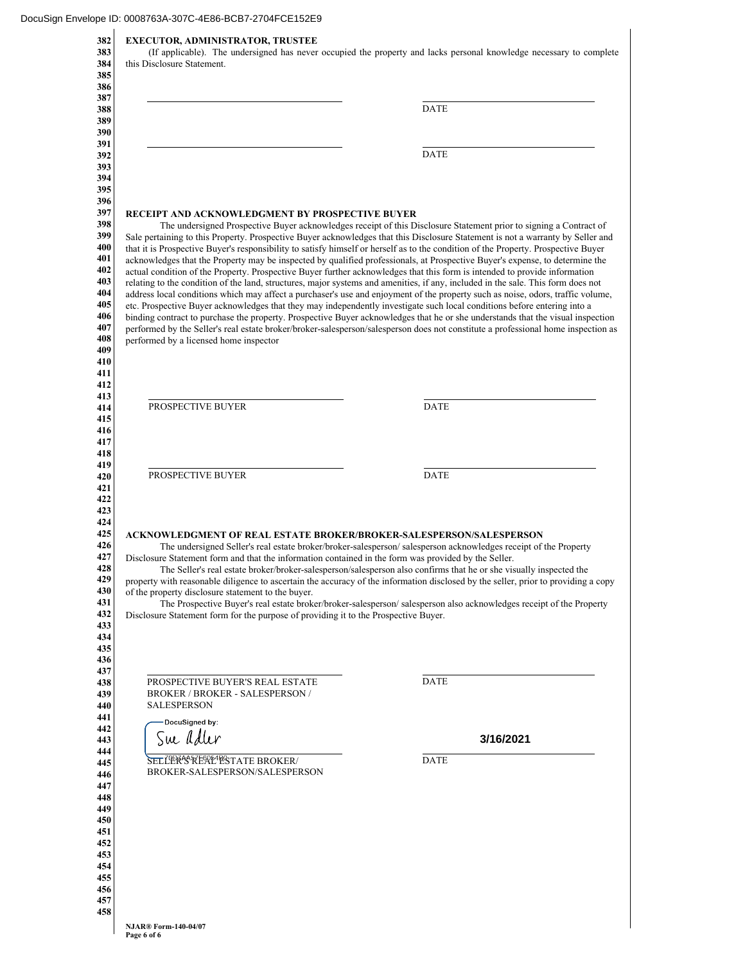**Page 6 of 6**

 **EXECUTOR, ADMINISTRATOR, TRUSTEE** (If applicable). The undersigned has never occupied the property and lacks personal knowledge necessary to complete this Disclosure Statement. DATE DATE **RECEIPT AND ACKNOWLEDGMENT BY PROSPECTIVE BUYER** The undersigned Prospective Buyer acknowledges receipt of this Disclosure Statement prior to signing a Contract of Sale pertaining to this Property. Prospective Buyer acknowledges that this Disclosure Statement is not a warranty by Seller and that it is Prospective Buyer's responsibility to satisfy himself or herself as to the condition of the Property. Prospective Buyer acknowledges that the Property may be inspected by qualified professionals, at Prospective Buyer's expense, to determine the actual condition of the Property. Prospective Buyer further acknowledges that this form is intended to provide information relating to the condition of the land, structures, major systems and amenities, if any, included in the sale. This form does not address local conditions which may affect a purchaser's use and enjoyment of the property such as noise, odors, traffic volume, etc. Prospective Buyer acknowledges that they may independently investigate such local conditions before entering into a binding contract to purchase the property. Prospective Buyer acknowledges that he or she understands that the visual inspection performed by the Seller's real estate broker/broker-salesperson/salesperson does not constitute a professional home inspection as performed by a licensed home inspector PROSPECTIVE BUYER DATE PROSPECTIVE BUYER DATE **ACKNOWLEDGMENT OF REAL ESTATE BROKER/BROKER-SALESPERSON/SALESPERSON** The undersigned Seller's real estate broker/broker-salesperson/ salesperson acknowledges receipt of the Property Disclosure Statement form and that the information contained in the form was provided by the Seller. The Seller's real estate broker/broker-salesperson/salesperson also confirms that he or she visually inspected the property with reasonable diligence to ascertain the accuracy of the information disclosed by the seller, prior to providing a copy of the property disclosure statement to the buyer. The Prospective Buyer's real estate broker/broker-salesperson/ salesperson also acknowledges receipt of the Property Disclosure Statement form for the purpose of providing it to the Prospective Buyer. PROSPECTIVE BUYER'S REAL ESTATE DATE BROKER / BROKER - SALESPERSON / SALESPERSON DocuSigned by: Sm adl **3/16/2021** SELL<sup>PR</sup>YKER<sup>64</sup>ESTATE BROKER/ **DATE**  BROKER-SALESPERSON/SALESPERSON **NJAR® Form-140-04/07**